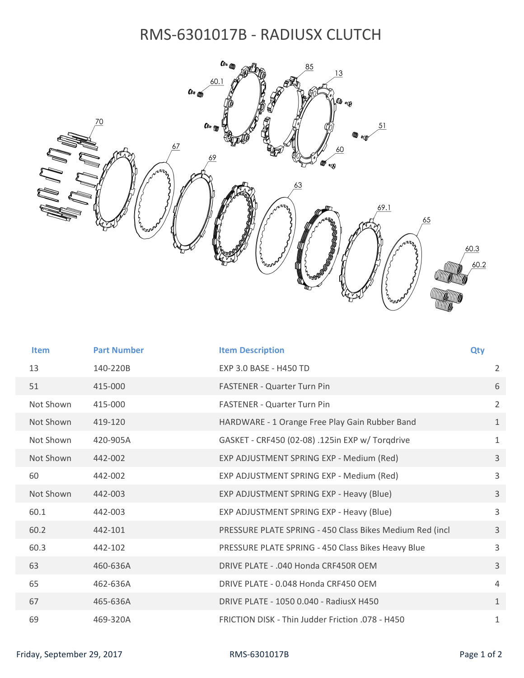## RMS‐6301017B ‐ RADIUSX CLUTCH



| <b>Item</b> | <b>Part Number</b> | <b>Item Description</b>                                  | <b>Qty</b>     |
|-------------|--------------------|----------------------------------------------------------|----------------|
| 13          | 140-220B           | EXP 3.0 BASE - H450 TD                                   | $\overline{2}$ |
| 51          | 415-000            | FASTENER - Quarter Turn Pin                              | 6              |
| Not Shown   | 415-000            | FASTENER - Quarter Turn Pin                              | $\overline{2}$ |
| Not Shown   | 419-120            | HARDWARE - 1 Orange Free Play Gain Rubber Band           | $\mathbf{1}$   |
| Not Shown   | 420-905A           | GASKET - CRF450 (02-08) .125in EXP w/ Torgdrive          | $\mathbf{1}$   |
| Not Shown   | 442-002            | EXP ADJUSTMENT SPRING EXP - Medium (Red)                 | $\overline{3}$ |
| 60          | 442-002            | EXP ADJUSTMENT SPRING EXP - Medium (Red)                 | $\overline{3}$ |
| Not Shown   | 442-003            | EXP ADJUSTMENT SPRING EXP - Heavy (Blue)                 | 3              |
| 60.1        | 442-003            | EXP ADJUSTMENT SPRING EXP - Heavy (Blue)                 | $\overline{3}$ |
| 60.2        | 442-101            | PRESSURE PLATE SPRING - 450 Class Bikes Medium Red (incl | $\overline{3}$ |
| 60.3        | 442-102            | PRESSURE PLATE SPRING - 450 Class Bikes Heavy Blue       | 3              |
| 63          | 460-636A           | DRIVE PLATE - .040 Honda CRF450R OEM                     | $\overline{3}$ |
| 65          | 462-636A           | DRIVE PLATE - 0.048 Honda CRF450 OEM                     | 4              |
| 67          | 465-636A           | DRIVE PLATE - 1050 0.040 - RadiusX H450                  | $\mathbf{1}$   |
| 69          | 469-320A           | FRICTION DISK - Thin Judder Friction .078 - H450         | $1\,$          |